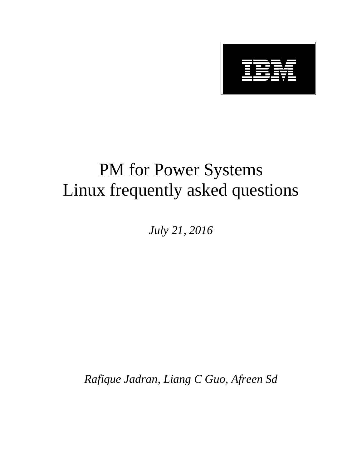

# PM for Power Systems Linux frequently asked questions

*July 21, 2016*

*Rafique Jadran, Liang C Guo, Afreen Sd*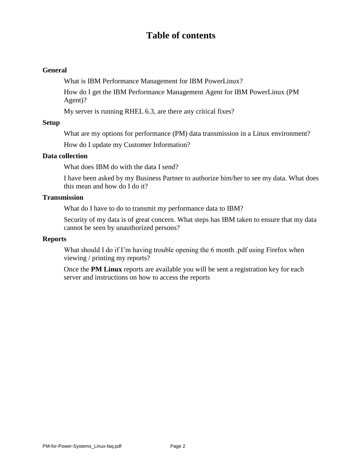# **Table of contents**

#### **General**

What is IBM Performance Management for IBM PowerLinux?

How do I get the IBM Performance Management Agent for IBM PowerLinux (PM Agent)?

My server is running RHEL 6.3, are there any critical fixes?

#### **Setup**

What are my options for performance (PM) data transmission in a Linux environment?

How do I update my Customer Information?

#### **Data collection**

What does IBM do with the data I send?

I have been asked by my Business Partner to authorize him/her to see my data. What does this mean and how do I do it?

#### **Transmission**

What do I have to do to transmit my performance data to IBM?

Security of my data is of great concern. What steps has IBM taken to ensure that my data cannot be seen by unauthorized persons?

#### **Reports**

What should I do if I'm having trouble opening the 6 month .pdf using Firefox when viewing / printing my reports?

Once the **PM Linux** reports are available you will be sent a registration key for each server and instructions on how to access the reports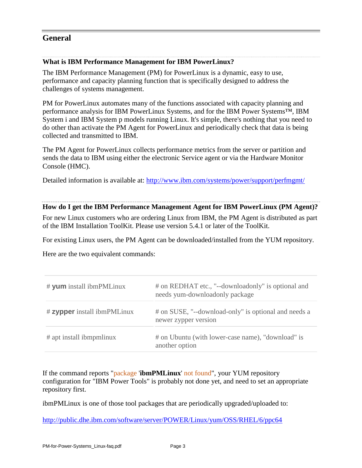# **General**

#### **What is IBM Performance Management for IBM PowerLinux?**

The IBM Performance Management (PM) for PowerLinux is a dynamic, easy to use, performance and capacity planning function that is specifically designed to address the challenges of systems management.

PM for PowerLinux automates many of the functions associated with capacity planning and performance analysis for IBM PowerLinux Systems, and for the IBM Power Systems™, IBM System i and IBM System p models running Linux. It's simple, there's nothing that you need to do other than activate the PM Agent for PowerLinux and periodically check that data is being collected and transmitted to IBM.

The PM Agent for PowerLinux collects performance metrics from the server or partition and sends the data to IBM using either the electronic Service agent or via the Hardware Monitor Console (HMC).

Detailed information is available at: [http://www.ibm.com/systems/power/support/perfmgmt/](http://www-03.ibm.com/systems/power/support/perfmgmt/index.html)

#### **How do I get the IBM Performance Management Agent for IBM PowerLinux (PM Agent)?**

For new Linux customers who are ordering Linux from IBM, the PM Agent is distributed as part of the IBM Installation ToolKit. Please use version 5.4.1 or later of the ToolKit.

For existing Linux users, the PM Agent can be downloaded/installed from the YUM repository.

Here are the two equivalent commands:

| # yum install ibmPMLinux    | # on REDHAT etc., "--download only" is optional and<br>needs yum-downloadonly package |
|-----------------------------|---------------------------------------------------------------------------------------|
| # zypper install ibmPMLinux | # on SUSE, "--download-only" is optional and needs a<br>newer zypper version          |
| # apt install ibmpmlinux    | # on Ubuntu (with lower-case name), "download" is<br>another option                   |

If the command reports "package '**ibmPMLinux**' not found", your YUM repository configuration for "IBM Power Tools" is probably not done yet, and need to set an appropriate repository first.

ibmPMLinux is one of those tool packages that are periodically upgraded/uploaded to:

<http://public.dhe.ibm.com/software/server/POWER/Linux/yum/OSS/RHEL/6/ppc64>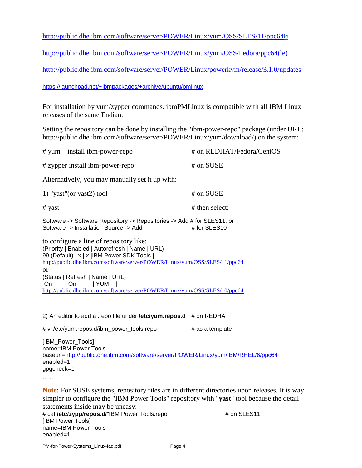<http://public.dhe.ibm.com/software/server/POWER/Linux/yum/OSS/SLES/11/ppc64>le

[http://public.dhe.ibm.com/software/server/POWER/Linux/yum/OSS/Fedora/ppc64\(le\)](http://public.dhe.ibm.com/software/server/POWER/Linux/yum/OSS/Fedora/ppc64(le))

<http://public.dhe.ibm.com/software/server/POWER/Linux/powerkvm/release/3.1.0/updates>

<https://launchpad.net/~ibmpackages/+archive/ubuntu/pmlinux>

For installation by yum/zypper commands. ibmPMLinux is compatible with all IBM Linux releases of the same Endian.

Setting the repository can be done by installing the "ibm-power-repo" package (under URL: http://public.dhe.ibm.com/software/server/POWER/Linux/yum/download/) on the system:

| # yum install ibm-power-repo                                                                                                                                                                                                                                                                                                                                               | # on REDHAT/Fedora/CentOS |
|----------------------------------------------------------------------------------------------------------------------------------------------------------------------------------------------------------------------------------------------------------------------------------------------------------------------------------------------------------------------------|---------------------------|
| # zypper install ibm-power-repo                                                                                                                                                                                                                                                                                                                                            | # on SUSE                 |
| Alternatively, you may manually set it up with:                                                                                                                                                                                                                                                                                                                            |                           |
| 1) "yast" (or yast2) tool                                                                                                                                                                                                                                                                                                                                                  | # on SUSE                 |
| # yast                                                                                                                                                                                                                                                                                                                                                                     | # then select:            |
| Software -> Software Repository -> Repositories -> Add # for SLES11, or<br>Software -> Installation Source -> Add                                                                                                                                                                                                                                                          | # for SLES10              |
| to configure a line of repository like:<br>(Priority   Enabled   Autorefresh   Name   URL)<br>99 (Default)   x   x   IBM Power SDK Tools  <br>http://public.dhe.ibm.com/software/server/POWER/Linux/yum/OSS/SLES/11/ppc64<br>or<br>(Status   Refresh   Name   URL)<br>∣On ∴<br> YUM <br>On.<br>http://public.dhe.ibm.com/software/server/POWER/Linux/yum/OSS/SLES/10/ppc64 |                           |

2) An editor to add a .repo file under **/etc/yum.repos.d** # on REDHAT # vi /etc/yum.repos.d/ibm\_power\_tools.repo # as a template [IBM\_Power\_Tools] name=IBM Power Tools baseurl[=http://public.dhe.ibm.com/software/server/POWER/Linux/yum/IBM/RHEL/6/ppc64](http://public.dhe.ibm.com/software/server/POWER/Linux/yum/IBM/RHEL/6/ppc64)

enabled=1 gpgcheck=1

... ...

**Note:** For SUSE systems, repository files are in different directories upon releases. It is way simpler to configure the "IBM Power Tools" repository with "**yast**" tool because the detail statements inside may be uneasy:

# cat **/etc/zypp/repos.d/**"IBM Power Tools.repo" # on SLES11 [IBM Power Tools] name=IBM Power Tools enabled=1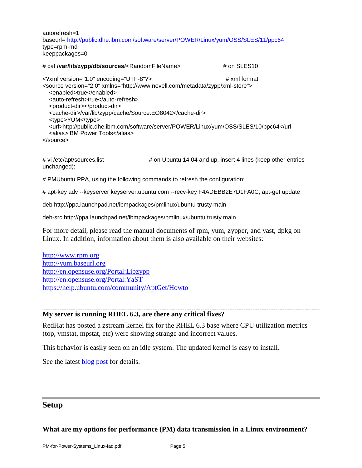autorefresh=1 baseurl= <http://public.dhe.ibm.com/software/server/POWER/Linux/yum/OSS/SLES/11/ppc64> type=rpm-md keeppackages=0

# cat **/var/lib/zypp/db/sources/**<RandomFileName> # on SLES10 <?xml version="1.0" encoding="UTF-8"?> # xml format! <source version="2.0" xmlns="http://www.novell.com/metadata/zypp/xml-store"> <enabled>true</enabled> <auto-refresh>true</auto-refresh> <product-dir></product-dir> <cache-dir>/var/lib/zypp/cache/Source.EO8042</cache-dir> <type>YUM</type> <url>http://public.dhe.ibm.com/software/server/POWER/Linux/yum/OSS/SLES/10/ppc64</url <alias>IBM Power Tools</alias> </source>

# vi /etc/apt/sources.list # on Ubuntu 14.04 and up, insert 4 lines (keep other entries unchanged):

# PMUbuntu PPA, using the following commands to refresh the configuration:

# apt-key adv --keyserver keyserver.ubuntu.com --recv-key F4ADEBB2E7D1FA0C; apt-get update

deb http://ppa.launchpad.net/ibmpackages/pmlinux/ubuntu trusty main

deb-src http://ppa.launchpad.net/ibmpackages/pmlinux/ubuntu trusty main

For more detail, please read the manual documents of rpm, yum, zypper, and yast, dpkg on Linux. In addition, information about them is also available on their websites:

[http://www.rpm.org](http://www.rpm.org/) [http://yum.baseurl.org](http://yum.baseurl.org/) <http://en.opensuse.org/Portal:Libzypp> <http://en.opensuse.org/Portal:YaST> <https://help.ubuntu.com/community/AptGet/Howto>

#### **My server is running RHEL 6.3, are there any critical fixes?**

RedHat has posted a zstream kernel fix for the RHEL 6.3 base where CPU utilization metrics (top, vmstat, mpstat, etc) were showing strange and incorrect values.

This behavior is easily seen on an idle system. The updated kernel is easy to install.

See the latest [blog post](https://www.ibm.com/developerworks/mydeveloperworks/blogs/fe313521-2e95-46f2-817d-44a4f27eba32/entry/test?lang=en) for details.

## **Setup**

**What are my options for performance (PM) data transmission in a Linux environment?**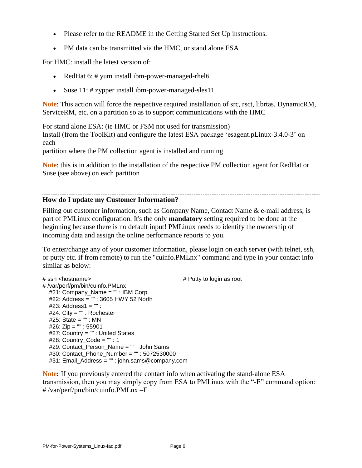- Please refer to the README in the Getting Started Set Up instructions.
- PM data can be transmitted via the HMC, or stand alone ESA

For HMC: install the latest version of:

- RedHat 6: # yum install ibm-power-managed-rhel6
- Suse 11: # zypper install ibm-power-managed-sles11

**Note**: This action will force the respective required installation of src, rsct, librtas, DynamicRM, ServiceRM, etc. on a partition so as to support communications with the HMC

For stand alone ESA: (ie HMC or FSM not used for transmission) Install (from the ToolKit) and configure the latest ESA package 'esagent.pLinux-3.4.0-3' on each

partition where the PM collection agent is installed and running

**Note**: this is in addition to the installation of the respective PM collection agent for RedHat or Suse (see above) on each partition

#### **How do I update my Customer Information?**

Filling out customer information, such as Company Name, Contact Name & e-mail address, is part of PMLinux configuration. It's the only **mandatory** setting required to be done at the beginning because there is no default input! PMLinux needs to identify the ownership of incoming data and assign the online performance reports to you.

To enter/change any of your customer information, please login on each server (with telnet, ssh, or putty etc. if from remote) to run the "cuinfo.PMLnx" command and type in your contact info similar as below:

```
# ssh <hostname> # Putty to login as root
# /var/perf/pm/bin/cuinfo.PMLnx
   #21: Company_Name = "" : IBM Corp.
 #22: Address = "" : 3605 HWY 52 North
 #23: Address1 = "" :
   #24: City = "" : Rochester
   #25: State = "" : MN
   #26: Zip = "" : 55901
   #27: Country = "" : United States
  #28: Country Code = " : 1
   #29: Contact_Person_Name = "" : John Sams
   #30: Contact_Phone_Number = "" : 5072530000
   #31: Email_Address = "" : john.sams@company.com
```
**Note:** If you previously entered the contact info when activating the stand-alone ESA transmission, then you may simply copy from ESA to PMLinux with the "-E" command option: # /var/perf/pm/bin/cuinfo.PMLnx –E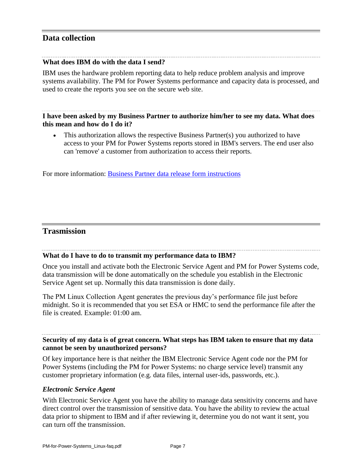## **Data collection**

#### **What does IBM do with the data I send?**

IBM uses the hardware problem reporting data to help reduce problem analysis and improve systems availability. The PM for Power Systems performance and capacity data is processed, and used to create the reports you see on the secure web site.

### **I have been asked by my Business Partner to authorize him/her to see my data. What does this mean and how do I do it?**

 This authorization allows the respective Business Partner(s) you authorized to have access to your PM for Power Systems reports stored in IBM's servers. The end user also can 'remove' a customer from authorization to access their reports.

For more information: [Business Partner data release form instructions](http://www-03.ibm.com/systems/power/support/perfmgmt/authorization.html)

## **Trasmission**

#### **What do I have to do to transmit my performance data to IBM?**

Once you install and activate both the Electronic Service Agent and PM for Power Systems code, data transmission will be done automatically on the schedule you establish in the Electronic Service Agent set up. Normally this data transmission is done daily.

The PM Linux Collection Agent generates the previous day's performance file just before midnight. So it is recommended that you set ESA or HMC to send the performance file after the file is created. Example: 01:00 am.

## **Security of my data is of great concern. What steps has IBM taken to ensure that my data cannot be seen by unauthorized persons?**

Of key importance here is that neither the IBM Electronic Service Agent code nor the PM for Power Systems (including the PM for Power Systems: no charge service level) transmit any customer proprietary information (e.g. data files, internal user-ids, passwords, etc.).

#### *Electronic Service Agent*

With Electronic Service Agent you have the ability to manage data sensitivity concerns and have direct control over the transmission of sensitive data. You have the ability to review the actual data prior to shipment to IBM and if after reviewing it, determine you do not want it sent, you can turn off the transmission.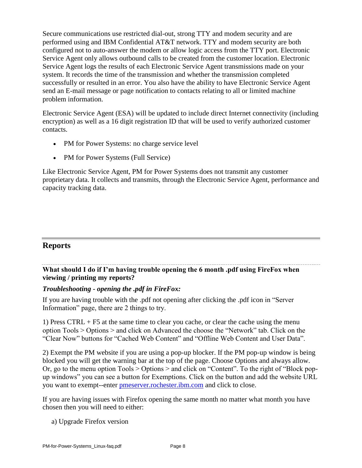Secure communications use restricted dial-out, strong TTY and modem security and are performed using and IBM Confidential AT&T network. TTY and modem security are both configured not to auto-answer the modem or allow logic access from the TTY port. Electronic Service Agent only allows outbound calls to be created from the customer location. Electronic Service Agent logs the results of each Electronic Service Agent transmissions made on your system. It records the time of the transmission and whether the transmission completed successfully or resulted in an error. You also have the ability to have Electronic Service Agent send an E-mail message or page notification to contacts relating to all or limited machine problem information.

Electronic Service Agent (ESA) will be updated to include direct Internet connectivity (including encryption) as well as a 16 digit registration ID that will be used to verify authorized customer contacts.

- PM for Power Systems: no charge service level
- PM for Power Systems (Full Service)

Like Electronic Service Agent, PM for Power Systems does not transmit any customer proprietary data. It collects and transmits, through the Electronic Service Agent, performance and capacity tracking data.

## **Reports**

**What should I do if I'm having trouble opening the 6 month .pdf using FireFox when viewing / printing my reports?**

#### *Troubleshooting - opening the .pdf in FireFox:*

If you are having trouble with the .pdf not opening after clicking the .pdf icon in "Server Information" page, there are 2 things to try.

1) Press CTRL + F5 at the same time to clear you cache, or clear the cache using the menu option Tools > Options > and click on Advanced the choose the "Network" tab. Click on the "Clear Now" buttons for "Cached Web Content" and "Offline Web Content and User Data".

2) Exempt the PM website if you are using a pop-up blocker. If the PM pop-up window is being blocked you will get the warning bar at the top of the page. Choose Options and always allow. Or, go to the menu option Tools > Options > and click on "Content". To the right of "Block popup windows" you can see a button for Exemptions. Click on the button and add the website URL you want to exempt--enter [pmeserver.rochester.ibm.com](http://pmeserver.rochester.ibm.com/) and click to close.

If you are having issues with Firefox opening the same month no matter what month you have chosen then you will need to either:

a) Upgrade Firefox version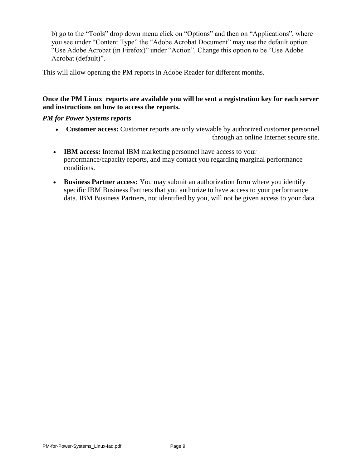b) go to the "Tools" drop down menu click on "Options" and then on "Applications", where you see under "Content Type" the "Adobe Acrobat Document" may use the default option "Use Adobe Acrobat (in Firefox)" under "Action". Change this option to be "Use Adobe Acrobat (default)".

This will allow opening the PM reports in Adobe Reader for different months.

**Once the PM Linux reports are available you will be sent a registration key for each server and instructions on how to access the reports.**

#### *PM for Power Systems reports*

- **Customer access:** Customer reports are only viewable by authorized customer personnel through an online Internet secure site.
- **IBM access:** Internal IBM marketing personnel have access to your performance/capacity reports, and may contact you regarding marginal performance conditions.
- **Business Partner access:** You may submit an authorization form where you identify specific IBM Business Partners that you authorize to have access to your performance data. IBM Business Partners, not identified by you, will not be given access to your data.